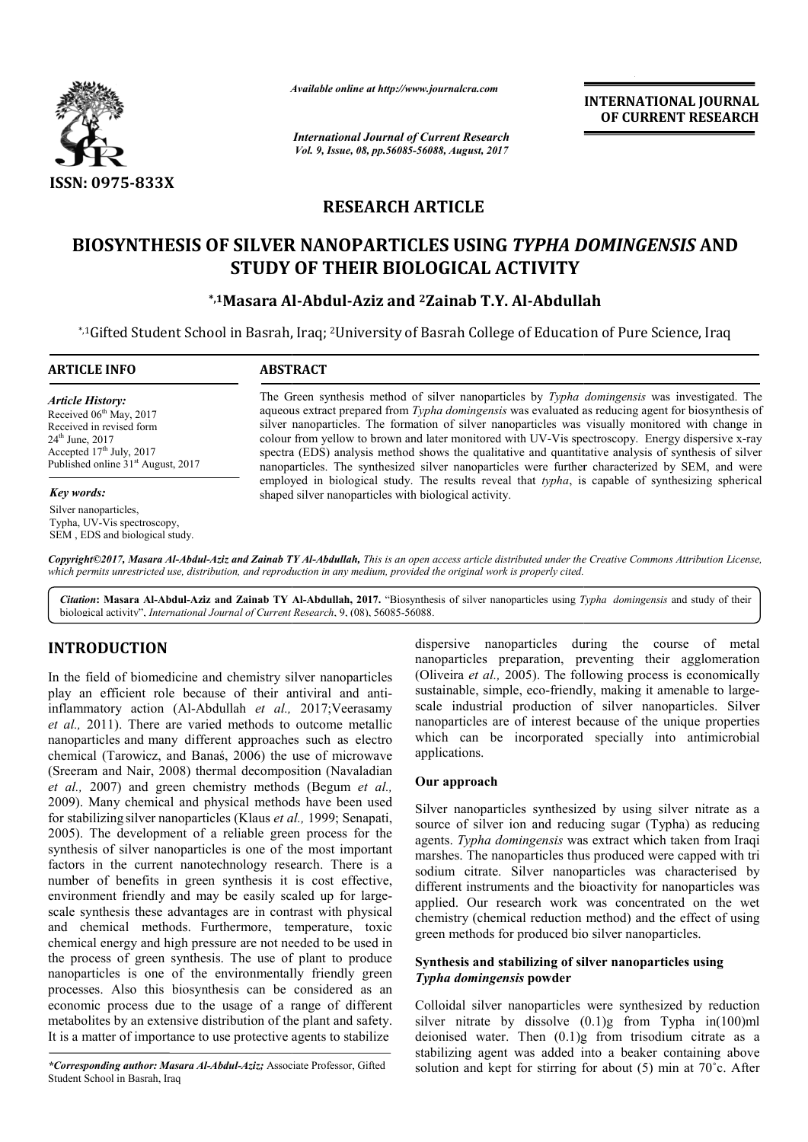

*Available online at http://www.journal http://www.journalcra.com*

*International Journal of Current Research Vol. 9, Issue, 08, pp.56085-56088, August, 2017* **INTERNATIONAL JOURNAL OF CURRENT RESEARCH** 

# **RESEARCH ARTICLE**

# **BIOSYNTHESIS OF SILVER NANOPARTICLES USING**  *TYPHA DOMINGENSIS TYPHA DOMINGENSIS* **AND STUDY OF THEIR BIOLOGICAL ACTIVITY**

# **\*,1Masara Al Masara Al-Abdul-Aziz and 2Zainab T.Y. Al-Abdullah Abdullah**

\*,1Gifted Student School in Basrah, Iraq; <sup>2</sup>University of Basrah College of Education of Pure Science, Iraq

| <b>ARTICLE INFO</b>                                                                                                                                                                               | <b>ABSTRACT</b>                                                                                                                                                                                                                                                                                                                                                                                                                                                                                                                                                                                                           |  |  |
|---------------------------------------------------------------------------------------------------------------------------------------------------------------------------------------------------|---------------------------------------------------------------------------------------------------------------------------------------------------------------------------------------------------------------------------------------------------------------------------------------------------------------------------------------------------------------------------------------------------------------------------------------------------------------------------------------------------------------------------------------------------------------------------------------------------------------------------|--|--|
| <b>Article History:</b><br>Received $06th$ May, 2017<br>Received in revised form<br>$24^{\text{th}}$ June, $2017$<br>Accepted $17th$ July, 2017<br>Published online 31 <sup>st</sup> August, 2017 | The Green synthesis method of silver nanoparticles by Typha domingensis was investigated. The<br>aqueous extract prepared from Typha domingensis was evaluated as reducing agent for biosynthesis of<br>silver nanoparticles. The formation of silver nanoparticles was visually monitored with change in<br>colour from yellow to brown and later monitored with UV-Vis spectroscopy. Energy dispersive x-ray<br>spectra (EDS) analysis method shows the qualitative and quantitative analysis of synthesis of silver<br>nanoparticles. The synthesized silver nanoparticles were further characterized by SEM, and were |  |  |
| <b>Key words:</b>                                                                                                                                                                                 | employed in biological study. The results reveal that typha, is capable of synthesizing spherical<br>shaped silver nanoparticles with biological activity.                                                                                                                                                                                                                                                                                                                                                                                                                                                                |  |  |
| Silver nanoparticles,<br>Typha, UV-Vis spectroscopy,                                                                                                                                              |                                                                                                                                                                                                                                                                                                                                                                                                                                                                                                                                                                                                                           |  |  |

Copyright©2017, Masara Al-Abdul-Aziz and Zainab TY Al-Abdullah, This is an open access article distributed under the Creative Commons Attribution License, which permits unrestricted use, distribution, and reproduction in any medium, provided the original work is properly cited.

Citation: Masara Al-Abdul-Aziz and Zainab TY Al-Abdullah, 2017. "Biosynthesis of silver nanoparticles using Typha domingensis and study of their biological activity", *International Journal of Current Research* , 9, (08), 56085-56088.

# **INTRODUCTION**

SEM , EDS and biological study.

In the field of biomedicine and chemistry silver nanoparticles play an efficient role because of their antiviral and antiinflammatory action (Al-Abdullah *et al.,* 2017;Veerasamy *et al.,* 2011). There are varied methods to outcome metallic nanoparticles and many different approaches such as electro chemical (Tarowicz, and Banaś, 2006) the use of microwave (Sreeram and Nair, 2008) thermal decomposition (Navaladian *et al.,* 2007) and green chemistry methods (Begum *et al.,* 2009). Many chemical and physical methods have been used for stabilizing silver nanoparticles (Klaus *et al.,* 1999; Senapati, 2005). The development of a reliable green process for the synthesis of silver nanoparticles is one of the most important factors in the current nanotechnology research. There is a number of benefits in green synthesis it is cost effective, environment friendly and may be easily scaled up for large scale synthesis these advantages are in contrast with physical and chemical methods. Furthermore, temperature, toxic chemical energy and high pressure are not needed to be used in the process of green synthesis. The use of plant to produce nanoparticles is one of the environmentally friendly green processes. Also this biosynthesis can be considered as an economic process due to the usage of a range of different metabolites by an extensive distribution of the plant and safety. It is a matter of importance to use protective agents to stabilize . There are varied methods to outcome metallic<br>and many different approaches such as electro<br>prowicz, and Banaś, 2006) the use of microwave The development of a reliable green process for the esis of silver nanoparticles is one of the most important s in the current nanotechnology research. There is a ger of benefits in green synthesis it is cost effective, no

*\*Corresponding author: Masara Al-Abdul-Aziz;* Associate Professor, Gifted Student School in Basrah, Iraq

dispersive nanoparticles during the course of metal nanoparticles preparation, preventing their agglomeration (Oliveira *et al.,* 2005). The following process is economically dispersive nanoparticles during the course of metal<br>nanoparticles preparation, preventing their agglomeration<br>(Oliveira *et al.*, 2005). The following process is economically<br>sustainable, simple, eco-friendly, making it am scale industrial production of silver nanoparticles. Silver nanoparticles are of interest because of the unique properties which can be incorporated specially into antimicrobial applications.

### **Our approach**

Silver nanoparticles synthesized by using silver nitrate as a source of silver ion and reducing sugar (Typha) as reducing agents. *Typha domingensis* was extract which taken from Iraqi marshes. The nanoparticles thus produced were capped with tri sodium citrate. Silver nanoparticles was characterised by different instruments and the bioactivity for nanoparticles was applied. Our research work was concentrated on the wet chemistry (chemical reduction method) and the effect of using green methods for produced bio silver nanoparticles. scale industrial production of silver nanoparticles. Silver<br>nanoparticles are of interest because of the unique properties<br>which can be incorporated specially into antimicrobial<br>applications.<br>**Our approach**<br>Silver nanopart

### Synthesis and stabilizing of silver nanoparticles using *Typha domingensis* **powder**

Colloidal silver nanoparticles were synthesized by reduction silver nitrate by dissolve (0.1)g from Typha in(100)ml deionised water. Then (0.1)g from trisodium citrate as a stabilizing agent was added into a beaker containing above solution and kept for stirring for about  $(5)$  min at  $70^{\circ}$ c. After rticles were synthesized by reduction<br>olve  $(0.1)g$  from Typha in(100)ml<br> $(0.1)g$  from trisodium citrate as a<br>dded into a beaker containing above<br>irring for about (5) min at 70°c. After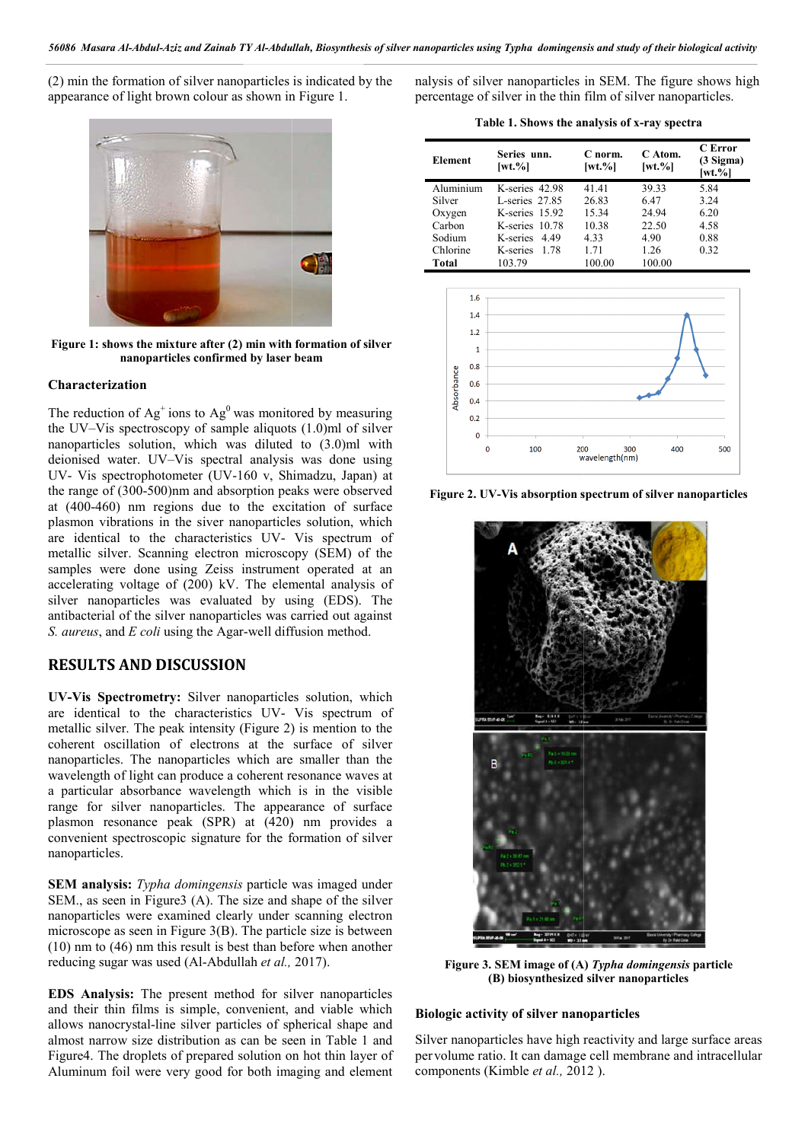(2) min the formation of silver nanoparticles is indicated by the appearance of light brown colour as shown in Figure 1.



**Figure 1: shows the mixture after (2) min with formation of silver nanoparticles confirmed by laser beam**

#### **Characterization**

The reduction of  $Ag<sup>+</sup>$  ions to  $Ag<sup>0</sup>$  was monitored by measuring the UV–Vis spectroscopy of sample aliquots (1.0)ml of silver nanoparticles solution, which was diluted to (3.0)ml with deionised water. UV–Vis spectral analysis was done using UV- Vis spectrophotometer (UV-160 v, Shimadzu, Japan) at the range of (300-500)nm and absorption peaks were observed at (400-460) nm regions due to the excitation of surface plasmon vibrations in the siver nanoparticles solution, which UV- Vis spectrophotometer (UV-160 v, Shimadzu, Japan) at<br>the range of (300-500)nm and absorption peaks were observed<br>at (400-460) nm regions due to the excitation of surface<br>plasmon vibrations in the siver nanoparticles so metallic silver. Scanning electron microscopy (SEM) of the samples were done using Zeiss instrument operated at an accelerating voltage of (200) kV. The elemental analysis of silver nanoparticles was evaluated by using (EDS). The antibacterial of the silver nanoparticles was carried out against *S. aureus*, and *E coli* using the Agar-well diffusion method. silver nanoparticles was evaluated by using (EDS). The<br>antibacterial of the silver nanoparticles was carried out against<br>*S. aureus*, and *E coli* using the Agar-well diffusion method.<br>**RESULTS AND DISCUSSION**<br>**UV-Vis Spec** 

## **RESULTS AND DISCUSSION**

are identical to the characteristics UV-Vis spectrum of metallic silver. The peak intensity (Figure 2) is mention to the coherent oscillation of electrons at the surface of silver nanoparticles. The nanoparticles which are smaller than the wavelength of light can produce a coherent resonance waves at a particular absorbance wavelength which is in the visible range for silver nanoparticles. The appearance of surface plasmon resonance peak (SPR) at (420) nm provides a convenient spectroscopic signature for the formation of silver nanoparticles.

**SEM analysis:** *Typha domingensis* particle was imaged under SEM., as seen in Figure3 (A). The size and shape of the silver nanoparticles were examined clearly under scanning electron microscope as seen in Figure 3(B). The particle size is between (10) nm to (46) nm this result is best than before when another reducing sugar was used (Al-Abdullah *et al.,* 2017).

**EDS Analysis:** The present method for silver nanoparticles and their thin films is simple, convenient, a and viable which allows nanocrystal-line silver particles of spherical shape and almost narrow size distribution as can be seen in Table 1 and Figure4. The droplets of prepared solution on hot thin layer of Aluminum foil were very good for both imaging and line silver particles of spherical shape and<br>distribution as can be seen in Table 1 and<br>tts of prepared solution on hot thin layer of<br>e very good for both imaging and element nalysis of silver nanoparticles in SEM. The figure shows high nalysis of silver nanoparticles in SEM. The figure shows percentage of silver in the thin film of silver nanoparticles.

**Table 1. Shows the analysis of x x-ray spectra**

| <b>Element</b> | Series unn.<br>$[wt. \%]$ | C norm.<br>$[wt. \%]$ | C Atom.<br>$[wt. \%]$ | C Error<br>$(3$ Sigma)<br>$[wt. \%]$ |
|----------------|---------------------------|-----------------------|-----------------------|--------------------------------------|
| Aluminium      | K-series 42.98            | 41.41                 | 39.33                 | 5.84                                 |
| Silver         | L-series 27.85            | 26.83                 | 6.47                  | 3.24                                 |
| Oxygen         | K-series $15.92$          | 15.34                 | 24.94                 | 6.20                                 |
| Carbon         | K-series 10.78            | 10.38                 | 22.50                 | 4.58                                 |
| Sodium         | K-series 4.49             | 4.33                  | 4.90                  | 0.88                                 |
| Chlorine       | K-series<br>- 1.78        | 171                   | 1.26                  | 0.32                                 |
| Total          | 103.79                    | 100.00                | 100.00                |                                      |



Figure 2. UV-Vis absorption spectrum of silver nanoparticles



**Figure 3. SEM image of (A)**  *Typha domingensis* **particle (B) biosynthesized silver nanoparticles**

#### **Biologic activity of silver nanoparticles**

Silver nanoparticles have high reactivity and large surface areas Silver nanoparticles have high reactivity and large surface areas per volume ratio. It can damage cell membrane and intracellular components (Kimble *et al.,* 2012 ).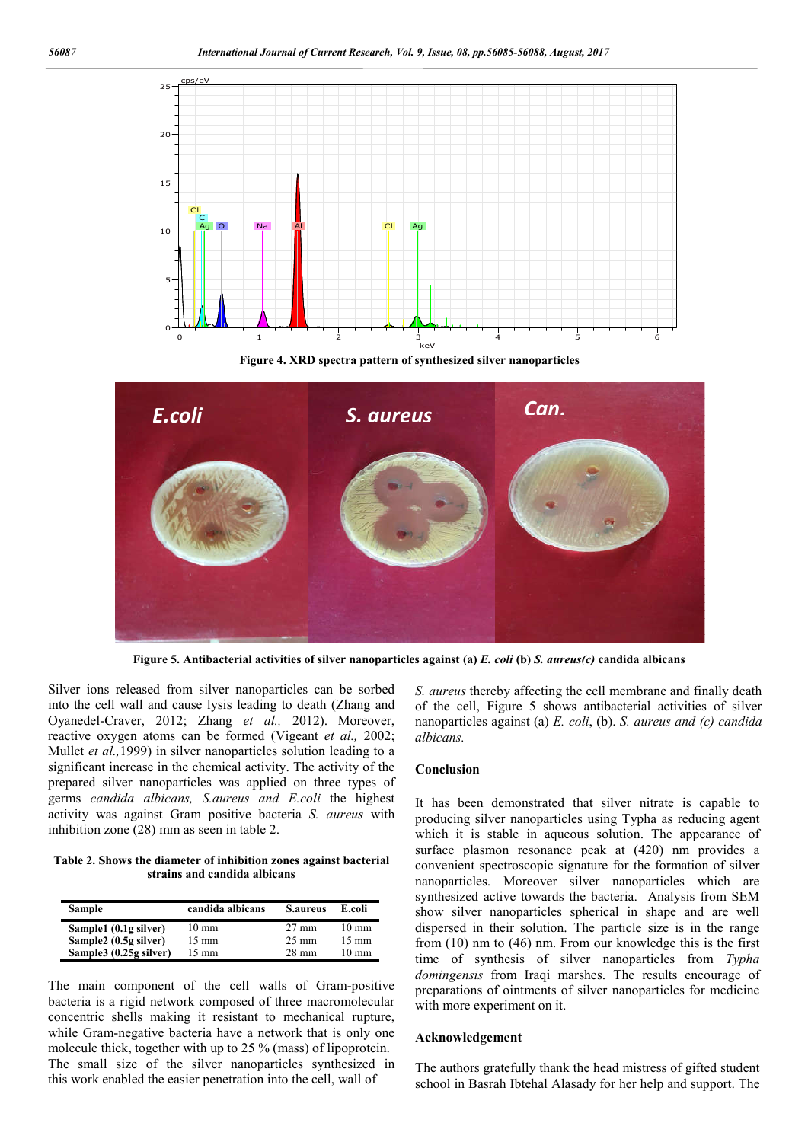

**Figure 4. XRD spectra pattern of synthesized silver nanoparticles**



**Figure 5. Antibacterial activities of silver nanoparticles against (a)** *E. coli* **(b)** *S. aureus(c)* **candida albicans**

Silver ions released from silver nanoparticles can be sorbed into the cell wall and cause lysis leading to death (Zhang and Oyanedel-Craver, 2012; Zhang *et al.,* 2012). Moreover, reactive oxygen atoms can be formed (Vigeant *et al.,* 2002; Mullet *et al.,*1999) in silver nanoparticles solution leading to a significant increase in the chemical activity. The activity of the prepared silver nanoparticles was applied on three types of germs *candida albicans, S.aureus and E.coli* the highest activity was against Gram positive bacteria *S. aureus* with inhibition zone (28) mm as seen in table 2.

**Table 2. Shows the diameter of inhibition zones against bacterial strains and candida albicans**

| <b>Sample</b>          | candida albicans | <b>S.aureus</b> | E.coli          |
|------------------------|------------------|-----------------|-----------------|
| Sample1 (0.1g silver)  | $10 \text{ mm}$  | $27 \text{ mm}$ | $10 \text{ mm}$ |
| Sample2 (0.5g silver)  | $15 \text{ mm}$  | $25 \text{ mm}$ | $15 \text{ mm}$ |
| Sample3 (0.25g silver) | $15 \text{ mm}$  | $28 \text{ mm}$ | $10 \text{ mm}$ |

The main component of the cell walls of Gram-positive bacteria is a rigid network composed of three macromolecular concentric shells making it resistant to mechanical rupture, while Gram-negative bacteria have a network that is only one molecule thick, together with up to 25 % (mass) of lipoprotein. The small size of the silver nanoparticles synthesized in this work enabled the easier penetration into the cell, wall of

*S. aureus* thereby affecting the cell membrane and finally death of the cell, Figure 5 shows antibacterial activities of silver nanoparticles against (a) *E. coli*, (b). *S. aureus and (c) candida albicans.*

#### **Conclusion**

It has been demonstrated that silver nitrate is capable to producing silver nanoparticles using Typha as reducing agent which it is stable in aqueous solution. The appearance of surface plasmon resonance peak at (420) nm provides a convenient spectroscopic signature for the formation of silver nanoparticles. Moreover silver nanoparticles which are synthesized active towards the bacteria. Analysis from SEM show silver nanoparticles spherical in shape and are well dispersed in their solution. The particle size is in the range from (10) nm to (46) nm. From our knowledge this is the first time of synthesis of silver nanoparticles from *Typha domingensis* from Iraqi marshes. The results encourage of preparations of ointments of silver nanoparticles for medicine with more experiment on it.

#### **Acknowledgement**

The authors gratefully thank the head mistress of gifted student school in Basrah Ibtehal Alasady for her help and support. The